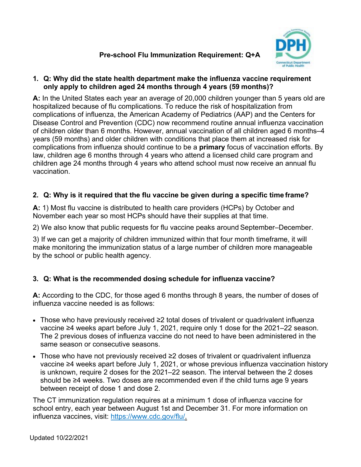# **Pre-school Flu Immunization Requirement: Q+A**



### **1. Q: Why did the state health department make the influenza vaccine requirement only apply to children aged 24 months through 4 years (59 months)?**

**A:** In the United States each year an average of 20,000 children younger than 5 years old are hospitalized because of flu complications. To reduce the risk of hospitalization from complications of influenza, the American Academy of Pediatrics (AAP) and the Centers for Disease Control and Prevention (CDC) now recommend routine annual influenza vaccination of children older than 6 months. However, annual vaccination of all children aged 6 months–4 years (59 months) and older children with conditions that place them at increased risk for complications from influenza should continue to be a **primary** focus of vaccination efforts. By law, children age 6 months through 4 years who attend a licensed child care program and children age 24 months through 4 years who attend school must now receive an annual flu vaccination.

## **2. Q: Why is it required that the flu vaccine be given during a specific time frame?**

**A:** 1) Most flu vaccine is distributed to health care providers (HCPs) by October and November each year so most HCPs should have their supplies at that time.

2) We also know that public requests for flu vaccine peaks around September–December.

3) If we can get a majority of children immunized within that four month timeframe, it will make monitoring the immunization status of a large number of children more manageable by the school or public health agency.

## **3. Q: What is the recommended dosing schedule for influenza vaccine?**

**A:** According to the CDC, for those aged 6 months through 8 years, the number of doses of influenza vaccine needed is as follows:

- Those who have previously received ≥2 total doses of trivalent or quadrivalent influenza vaccine ≥4 weeks apart before July 1, 2021, require only 1 dose for the 2021–22 season. The 2 previous doses of influenza vaccine do not need to have been administered in the same season or consecutive seasons.
- Those who have not previously received ≥2 doses of trivalent or quadrivalent influenza vaccine ≥4 weeks apart before July 1, 2021, or whose previous influenza vaccination history is unknown, require 2 doses for the 2021–22 season. The interval between the 2 doses should be ≥4 weeks. Two doses are recommended even if the child turns age 9 years between receipt of dose 1 and dose 2.

The CT immunization regulation requires at a minimum 1 dose of influenza vaccine for school entry, each year between August 1st and December 31. For more information on influenza vaccines, visit: [https://www.cdc.gov/flu/.](https://www.cdc.gov/flu/)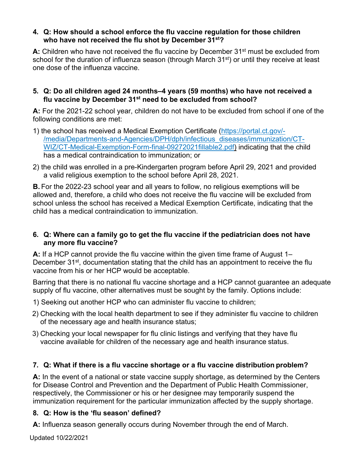### **4. Q: How should a school enforce the flu vaccine regulation for those children who have not received the flu shot by December 31st?**

A: Children who have not received the flu vaccine by December 31<sup>st</sup> must be excluded from school for the duration of influenza season (through March 31<sup>st</sup>) or until they receive at least one dose of the influenza vaccine.

### **5. Q: Do all children aged 24 months–4 years (59 months) who have not received a flu vaccine by December 31st need to be excluded from school?**

**A:** For the 2021-22 school year, children do not have to be excluded from school if one of the following conditions are met:

- 1) the school has received a Medical Exemption Certificate [\(https://portal.ct.gov/-](https://portal.ct.gov/-/media/Departments-and-Agencies/DPH/dph/infectious_diseases/immunization/CT-WIZ/CT-Medical-Exemption-Form-final-09272021fillable2.pdf) [/media/Departments-and-Agencies/DPH/dph/infectious\\_diseases/immunization/CT-](https://portal.ct.gov/-/media/Departments-and-Agencies/DPH/dph/infectious_diseases/immunization/CT-WIZ/CT-Medical-Exemption-Form-final-09272021fillable2.pdf)[WIZ/CT-Medical-Exemption-Form-final-09272021fillable2.pdf\)](https://portal.ct.gov/-/media/Departments-and-Agencies/DPH/dph/infectious_diseases/immunization/CT-WIZ/CT-Medical-Exemption-Form-final-09272021fillable2.pdf) indicating that the child has a medical contraindication to immunization; or
- 2) the child was enrolled in a pre-Kindergarten program before April 29, 2021 and provided a valid religious exemption to the school before April 28, 2021.

**B.** For the 2022-23 school year and all years to follow, no religious exemptions will be allowed and, therefore, a child who does not receive the flu vaccine will be excluded from school unless the school has received a Medical Exemption Certificate, indicating that the child has a medical contraindication to immunization.

### **6. Q: Where can a family go to get the flu vaccine if the pediatrician does not have any more flu vaccine?**

**A:** If a HCP cannot provide the flu vaccine within the given time frame of August 1– December 31<sup>st</sup>, documentation stating that the child has an appointment to receive the flu vaccine from his or her HCP would be acceptable.

Barring that there is no national flu vaccine shortage and a HCP cannot guarantee an adequate supply of flu vaccine, other alternatives must be sought by the family. Options include:

- 1) Seeking out another HCP who can administer flu vaccine to children;
- 2) Checking with the local health department to see if they administer flu vaccine to children of the necessary age and health insurance status;
- 3) Checking your local newspaper for flu clinic listings and verifying that they have flu vaccine available for children of the necessary age and health insurance status.

## **7. Q: What if there is a flu vaccine shortage or a flu vaccine distribution problem?**

**A:** In the event of a national or state vaccine supply shortage, as determined by the Centers for Disease Control and Prevention and the Department of Public Health Commissioner, respectively, the Commissioner or his or her designee may temporarily suspend the immunization requirement for the particular immunization affected by the supply shortage.

## **8. Q: How is the 'flu season' defined?**

**A:** Influenza season generally occurs during November through the end of March.